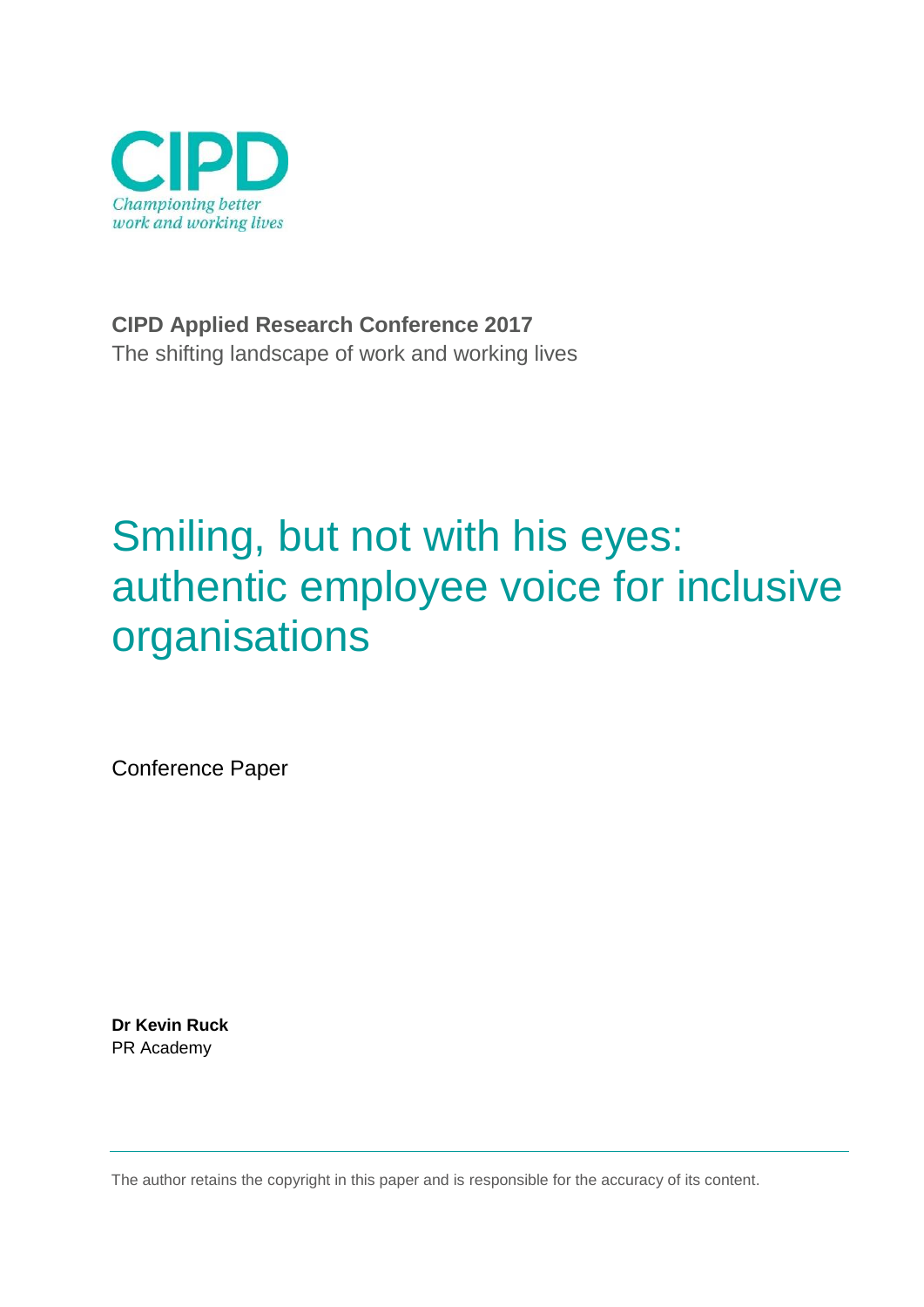

**CIPD Applied Research Conference 2017** The shifting landscape of work and working lives

# Smiling, but not with his eyes: authentic employee voice for inclusive organisations

Conference Paper

**Dr Kevin Ruck** PR Academy

The author retains the copyright in this paper and is responsible for the accuracy of its content.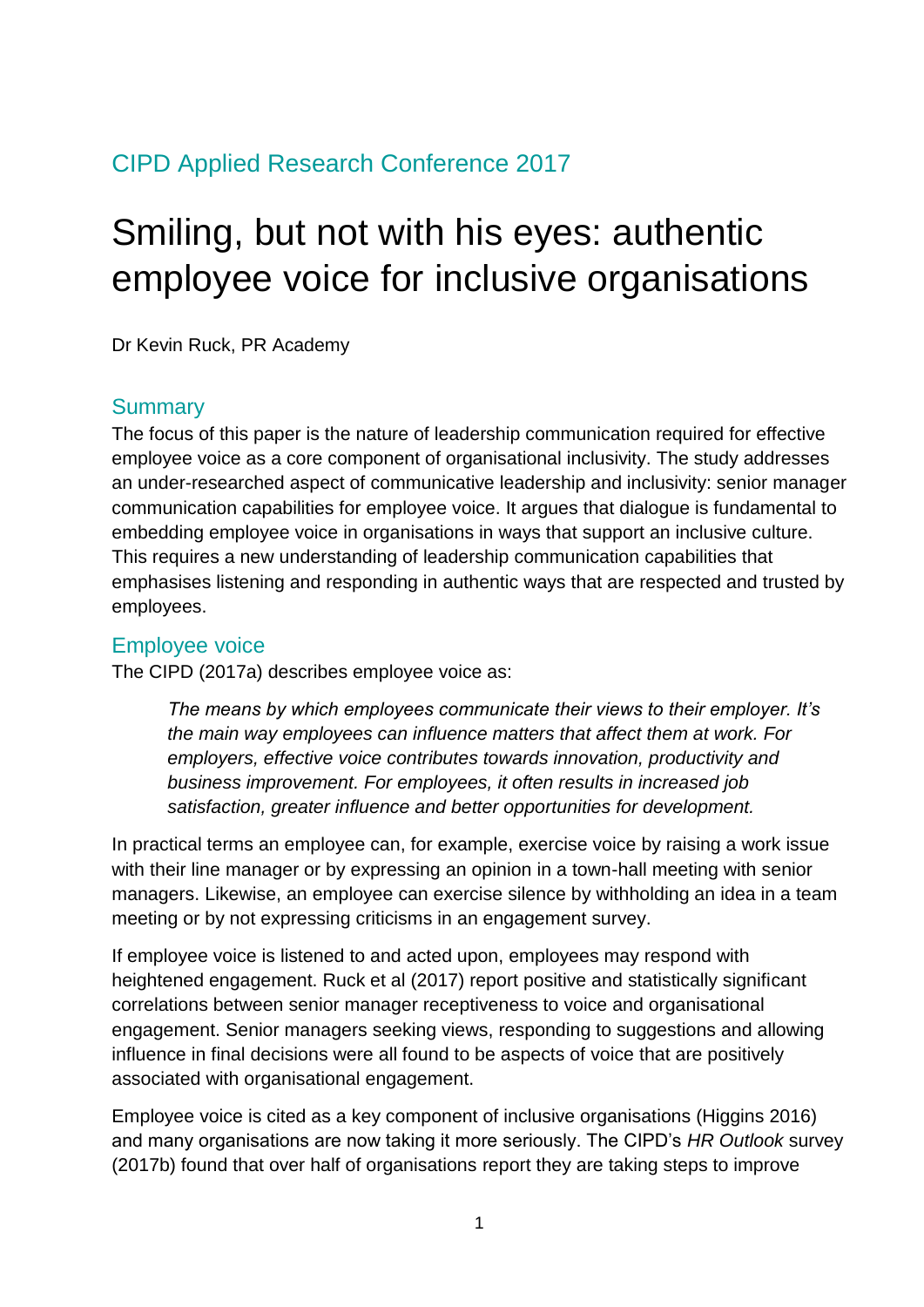### CIPD Applied Research Conference 2017

## Smiling, but not with his eyes: authentic employee voice for inclusive organisations

Dr Kevin Ruck, PR Academy

#### **Summary**

The focus of this paper is the nature of leadership communication required for effective employee voice as a core component of organisational inclusivity. The study addresses an under-researched aspect of communicative leadership and inclusivity: senior manager communication capabilities for employee voice. It argues that dialogue is fundamental to embedding employee voice in organisations in ways that support an inclusive culture. This requires a new understanding of leadership communication capabilities that emphasises listening and responding in authentic ways that are respected and trusted by employees.

#### Employee voice

The CIPD (2017a) describes employee voice as:

*The means by which employees communicate their views to their employer. It's the main way employees can influence matters that affect them at work. For employers, effective voice contributes towards innovation, productivity and business improvement. For employees, it often results in increased job satisfaction, greater influence and better opportunities for development.*

In practical terms an employee can, for example, exercise voice by raising a work issue with their line manager or by expressing an opinion in a town-hall meeting with senior managers. Likewise, an employee can exercise silence by withholding an idea in a team meeting or by not expressing criticisms in an engagement survey.

If employee voice is listened to and acted upon, employees may respond with heightened engagement. Ruck et al (2017) report positive and statistically significant correlations between senior manager receptiveness to voice and organisational engagement. Senior managers seeking views, responding to suggestions and allowing influence in final decisions were all found to be aspects of voice that are positively associated with organisational engagement.

Employee voice is cited as a key component of inclusive organisations (Higgins 2016) and many organisations are now taking it more seriously. The CIPD's *HR Outlook* survey (2017b) found that over half of organisations report they are taking steps to improve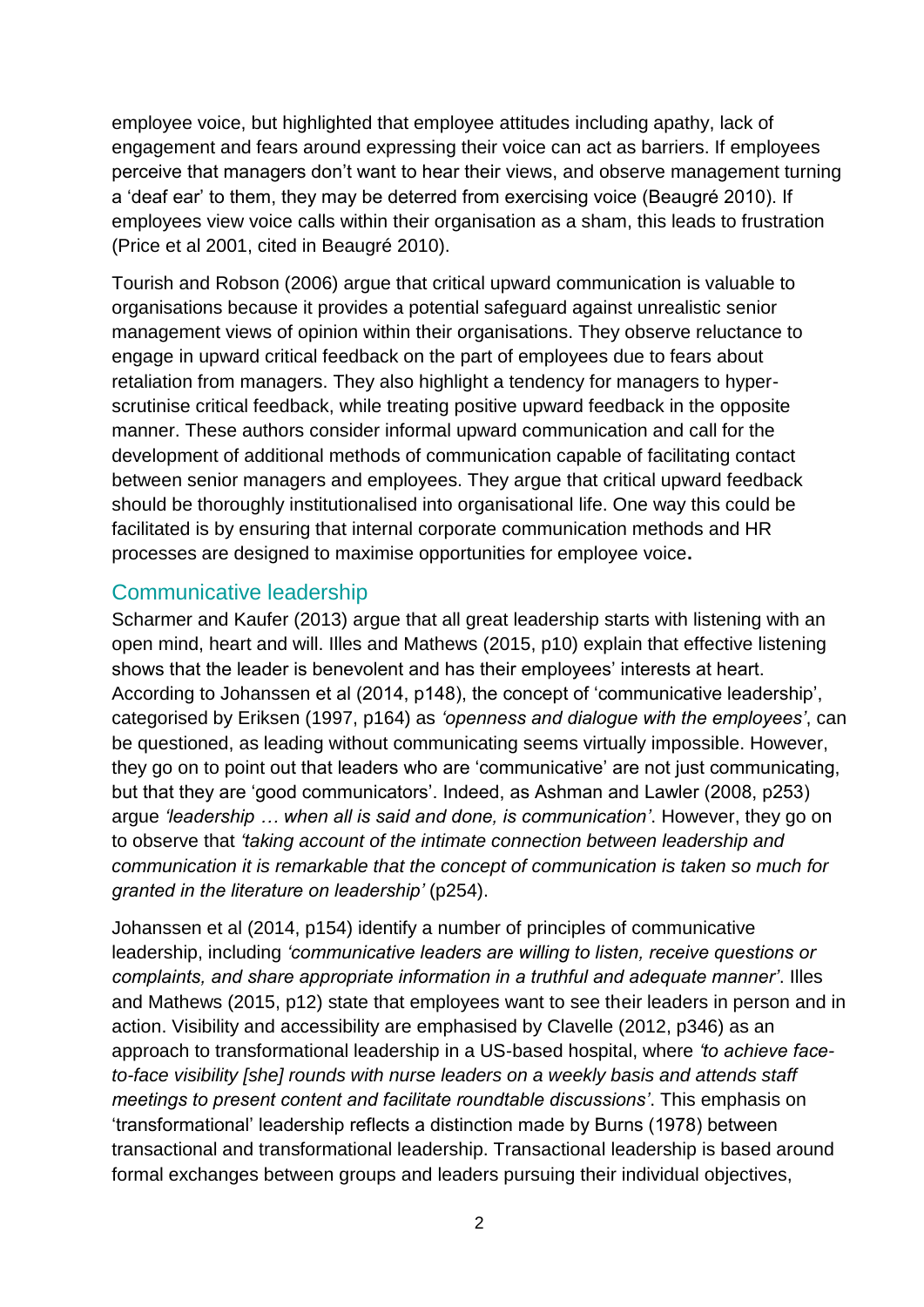employee voice, but highlighted that employee attitudes including apathy, lack of engagement and fears around expressing their voice can act as barriers. If employees perceive that managers don't want to hear their views, and observe management turning a 'deaf ear' to them, they may be deterred from exercising voice (Beaugré 2010). If employees view voice calls within their organisation as a sham, this leads to frustration (Price et al 2001, cited in Beaugré 2010).

Tourish and Robson (2006) argue that critical upward communication is valuable to organisations because it provides a potential safeguard against unrealistic senior management views of opinion within their organisations. They observe reluctance to engage in upward critical feedback on the part of employees due to fears about retaliation from managers. They also highlight a tendency for managers to hyperscrutinise critical feedback, while treating positive upward feedback in the opposite manner. These authors consider informal upward communication and call for the development of additional methods of communication capable of facilitating contact between senior managers and employees. They argue that critical upward feedback should be thoroughly institutionalised into organisational life. One way this could be facilitated is by ensuring that internal corporate communication methods and HR processes are designed to maximise opportunities for employee voice**.** 

#### Communicative leadership

Scharmer and Kaufer (2013) argue that all great leadership starts with listening with an open mind, heart and will. Illes and Mathews (2015, p10) explain that effective listening shows that the leader is benevolent and has their employees' interests at heart. According to Johanssen et al (2014, p148), the concept of 'communicative leadership', categorised by Eriksen (1997, p164) as *'openness and dialogue with the employees'*, can be questioned, as leading without communicating seems virtually impossible. However, they go on to point out that leaders who are 'communicative' are not just communicating, but that they are 'good communicators'. Indeed, as Ashman and Lawler (2008, p253) argue *'leadership … when all is said and done, is communication'*. However, they go on to observe that *'taking account of the intimate connection between leadership and communication it is remarkable that the concept of communication is taken so much for granted in the literature on leadership'* (p254).

Johanssen et al (2014, p154) identify a number of principles of communicative leadership, including *'communicative leaders are willing to listen, receive questions or complaints, and share appropriate information in a truthful and adequate manner'*. Illes and Mathews (2015, p12) state that employees want to see their leaders in person and in action. Visibility and accessibility are emphasised by Clavelle (2012, p346) as an approach to transformational leadership in a US-based hospital, where *'to achieve faceto-face visibility [she] rounds with nurse leaders on a weekly basis and attends staff meetings to present content and facilitate roundtable discussions'*. This emphasis on 'transformational' leadership reflects a distinction made by Burns (1978) between transactional and transformational leadership. Transactional leadership is based around formal exchanges between groups and leaders pursuing their individual objectives,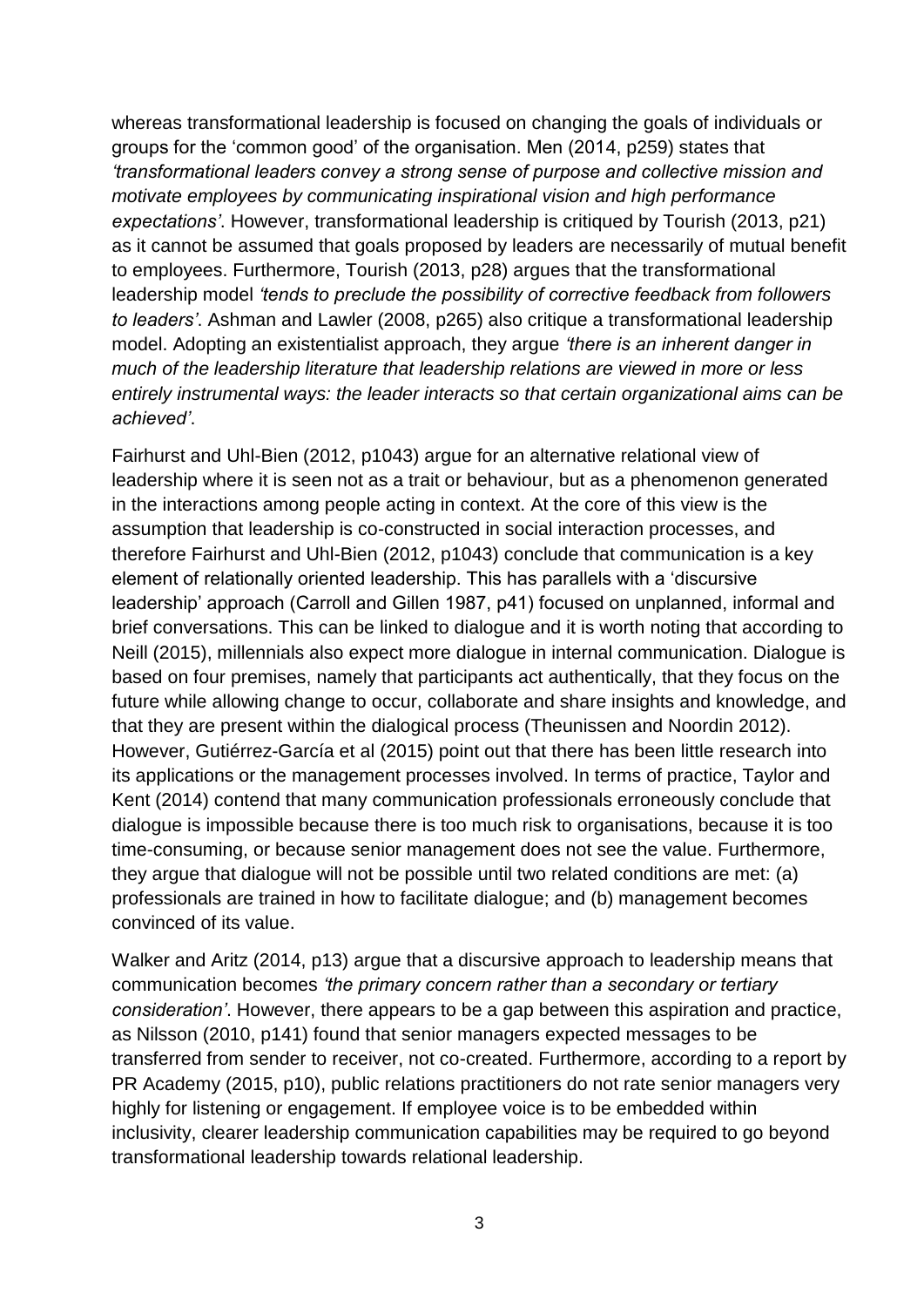whereas transformational leadership is focused on changing the goals of individuals or groups for the 'common good' of the organisation. Men (2014, p259) states that *'transformational leaders convey a strong sense of purpose and collective mission and motivate employees by communicating inspirational vision and high performance expectations'*. However, transformational leadership is critiqued by Tourish (2013, p21) as it cannot be assumed that goals proposed by leaders are necessarily of mutual benefit to employees. Furthermore, Tourish (2013, p28) argues that the transformational leadership model *'tends to preclude the possibility of corrective feedback from followers to leaders'*. Ashman and Lawler (2008, p265) also critique a transformational leadership model. Adopting an existentialist approach, they argue *'there is an inherent danger in much of the leadership literature that leadership relations are viewed in more or less entirely instrumental ways: the leader interacts so that certain organizational aims can be achieved'*.

Fairhurst and Uhl-Bien (2012, p1043) argue for an alternative relational view of leadership where it is seen not as a trait or behaviour, but as a phenomenon generated in the interactions among people acting in context. At the core of this view is the assumption that leadership is co-constructed in social interaction processes, and therefore Fairhurst and Uhl-Bien (2012, p1043) conclude that communication is a key element of relationally oriented leadership. This has parallels with a 'discursive leadership' approach (Carroll and Gillen 1987, p41) focused on unplanned, informal and brief conversations. This can be linked to dialogue and it is worth noting that according to Neill (2015), millennials also expect more dialogue in internal communication. Dialogue is based on four premises, namely that participants act authentically, that they focus on the future while allowing change to occur, collaborate and share insights and knowledge, and that they are present within the dialogical process (Theunissen and Noordin 2012). However, Gutiérrez-García et al (2015) point out that there has been little research into its applications or the management processes involved. In terms of practice, Taylor and Kent (2014) contend that many communication professionals erroneously conclude that dialogue is impossible because there is too much risk to organisations, because it is too time-consuming, or because senior management does not see the value. Furthermore, they argue that dialogue will not be possible until two related conditions are met: (a) professionals are trained in how to facilitate dialogue; and (b) management becomes convinced of its value.

Walker and Aritz (2014, p13) argue that a discursive approach to leadership means that communication becomes *'the primary concern rather than a secondary or tertiary consideration'*. However, there appears to be a gap between this aspiration and practice, as Nilsson (2010, p141) found that senior managers expected messages to be transferred from sender to receiver, not co-created. Furthermore, according to a report by PR Academy (2015, p10), public relations practitioners do not rate senior managers very highly for listening or engagement. If employee voice is to be embedded within inclusivity, clearer leadership communication capabilities may be required to go beyond transformational leadership towards relational leadership.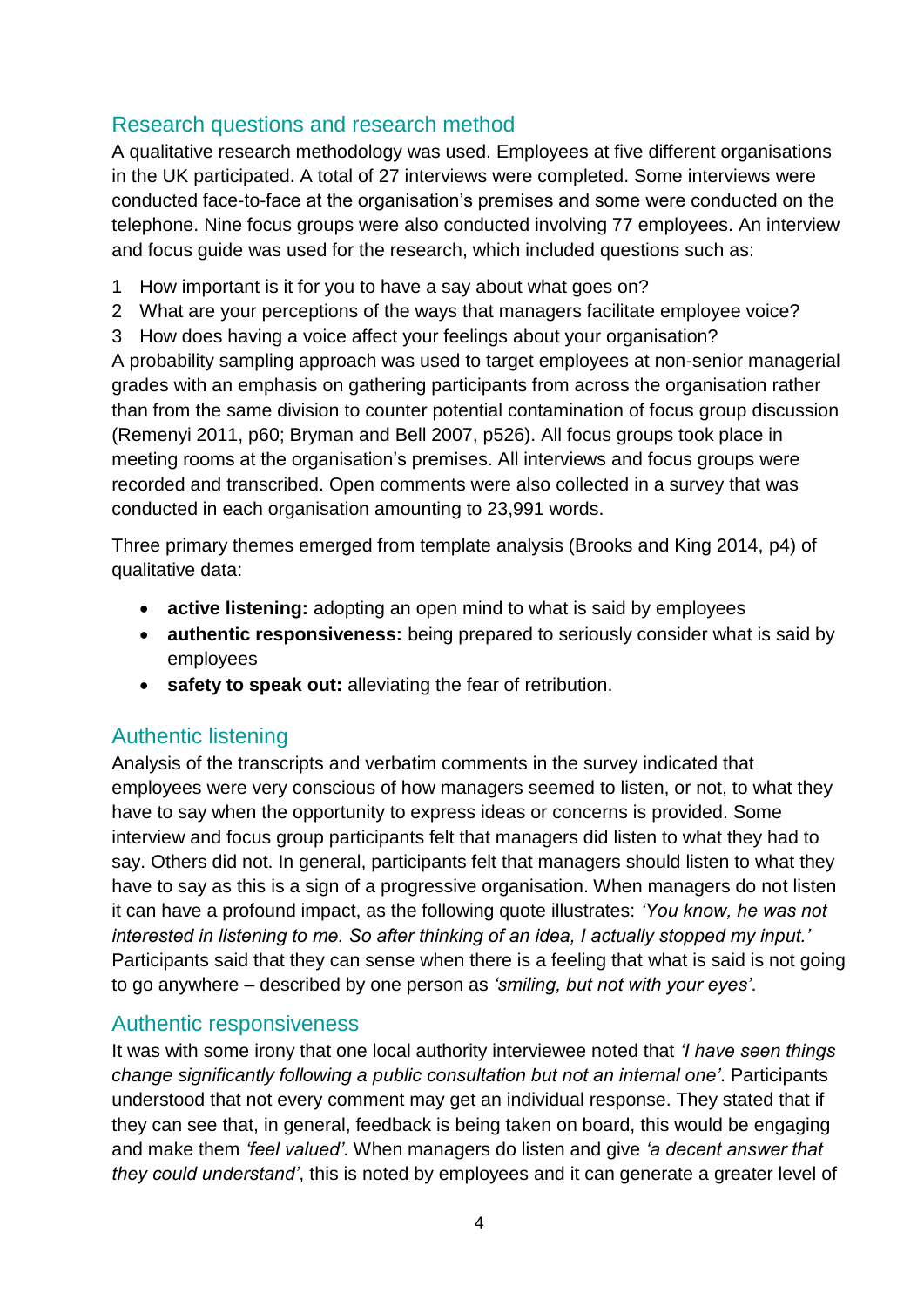#### Research questions and research method

A qualitative research methodology was used. Employees at five different organisations in the UK participated. A total of 27 interviews were completed. Some interviews were conducted face-to-face at the organisation's premises and some were conducted on the telephone. Nine focus groups were also conducted involving 77 employees. An interview and focus guide was used for the research, which included questions such as:

- 1 How important is it for you to have a say about what goes on?
- 2 What are your perceptions of the ways that managers facilitate employee voice?
- 3 How does having a voice affect your feelings about your organisation?

A probability sampling approach was used to target employees at non-senior managerial grades with an emphasis on gathering participants from across the organisation rather than from the same division to counter potential contamination of focus group discussion (Remenyi 2011, p60; Bryman and Bell 2007, p526). All focus groups took place in meeting rooms at the organisation's premises. All interviews and focus groups were recorded and transcribed. Open comments were also collected in a survey that was conducted in each organisation amounting to 23,991 words.

Three primary themes emerged from template analysis (Brooks and King 2014, p4) of qualitative data:

- **active listening:** adopting an open mind to what is said by employees
- **authentic responsiveness:** being prepared to seriously consider what is said by employees
- **safety to speak out:** alleviating the fear of retribution.

#### Authentic listening

Analysis of the transcripts and verbatim comments in the survey indicated that employees were very conscious of how managers seemed to listen, or not, to what they have to say when the opportunity to express ideas or concerns is provided. Some interview and focus group participants felt that managers did listen to what they had to say. Others did not. In general, participants felt that managers should listen to what they have to say as this is a sign of a progressive organisation. When managers do not listen it can have a profound impact, as the following quote illustrates: *'You know, he was not interested in listening to me. So after thinking of an idea, I actually stopped my input.'* Participants said that they can sense when there is a feeling that what is said is not going to go anywhere – described by one person as *'smiling, but not with your eyes'*.

#### Authentic responsiveness

It was with some irony that one local authority interviewee noted that *'I have seen things change significantly following a public consultation but not an internal one'*. Participants understood that not every comment may get an individual response. They stated that if they can see that, in general, feedback is being taken on board, this would be engaging and make them *'feel valued'*. When managers do listen and give *'a decent answer that they could understand'*, this is noted by employees and it can generate a greater level of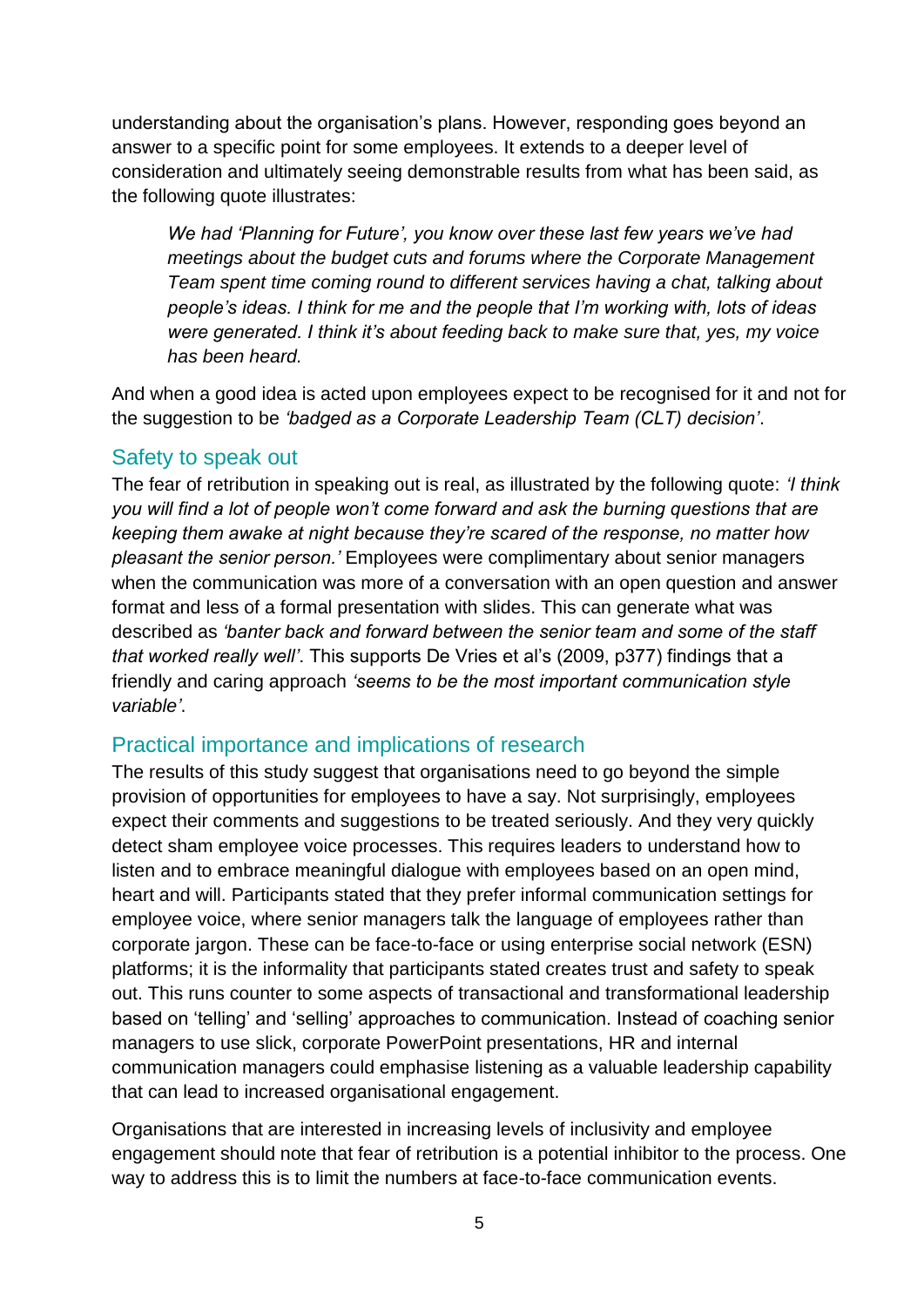understanding about the organisation's plans. However, responding goes beyond an answer to a specific point for some employees. It extends to a deeper level of consideration and ultimately seeing demonstrable results from what has been said, as the following quote illustrates:

*We had 'Planning for Future', you know over these last few years we've had meetings about the budget cuts and forums where the Corporate Management Team spent time coming round to different services having a chat, talking about people's ideas. I think for me and the people that I'm working with, lots of ideas were generated. I think it's about feeding back to make sure that, yes, my voice has been heard.*

And when a good idea is acted upon employees expect to be recognised for it and not for the suggestion to be *'badged as a Corporate Leadership Team (CLT) decision'*.

#### Safety to speak out

The fear of retribution in speaking out is real, as illustrated by the following quote: *'I think you will find a lot of people won't come forward and ask the burning questions that are keeping them awake at night because they're scared of the response, no matter how pleasant the senior person.'* Employees were complimentary about senior managers when the communication was more of a conversation with an open question and answer format and less of a formal presentation with slides. This can generate what was described as *'banter back and forward between the senior team and some of the staff that worked really well'*. This supports De Vries et al's (2009, p377) findings that a friendly and caring approach *'seems to be the most important communication style variable'*.

#### Practical importance and implications of research

The results of this study suggest that organisations need to go beyond the simple provision of opportunities for employees to have a say. Not surprisingly, employees expect their comments and suggestions to be treated seriously. And they very quickly detect sham employee voice processes. This requires leaders to understand how to listen and to embrace meaningful dialogue with employees based on an open mind, heart and will. Participants stated that they prefer informal communication settings for employee voice, where senior managers talk the language of employees rather than corporate jargon. These can be face-to-face or using enterprise social network (ESN) platforms; it is the informality that participants stated creates trust and safety to speak out. This runs counter to some aspects of transactional and transformational leadership based on 'telling' and 'selling' approaches to communication. Instead of coaching senior managers to use slick, corporate PowerPoint presentations, HR and internal communication managers could emphasise listening as a valuable leadership capability that can lead to increased organisational engagement.

Organisations that are interested in increasing levels of inclusivity and employee engagement should note that fear of retribution is a potential inhibitor to the process. One way to address this is to limit the numbers at face-to-face communication events.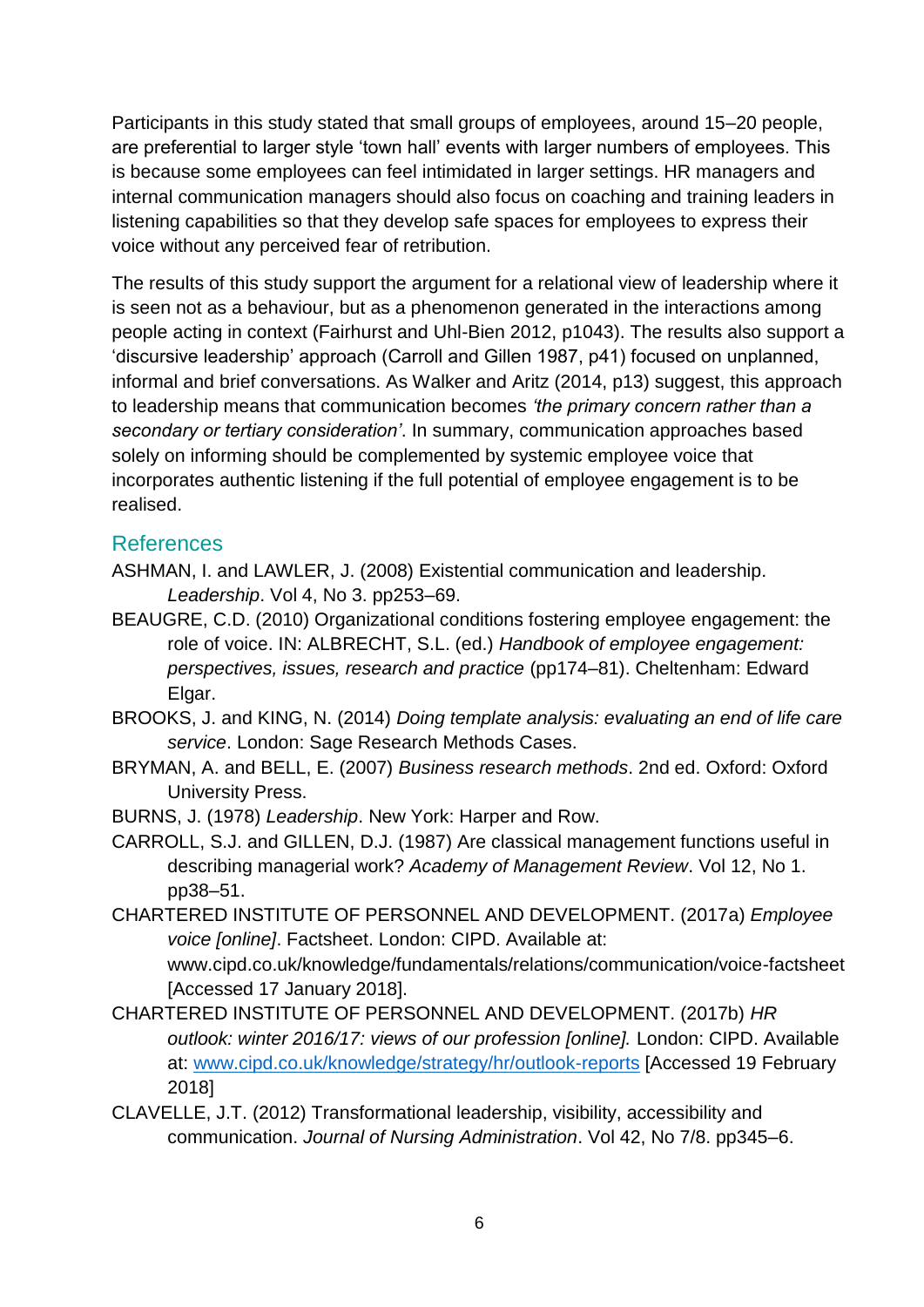Participants in this study stated that small groups of employees, around 15–20 people, are preferential to larger style 'town hall' events with larger numbers of employees. This is because some employees can feel intimidated in larger settings. HR managers and internal communication managers should also focus on coaching and training leaders in listening capabilities so that they develop safe spaces for employees to express their voice without any perceived fear of retribution.

The results of this study support the argument for a relational view of leadership where it is seen not as a behaviour, but as a phenomenon generated in the interactions among people acting in context (Fairhurst and Uhl-Bien 2012, p1043). The results also support a 'discursive leadership' approach (Carroll and Gillen 1987, p41) focused on unplanned, informal and brief conversations. As Walker and Aritz (2014, p13) suggest, this approach to leadership means that communication becomes *'the primary concern rather than a secondary or tertiary consideration'*. In summary, communication approaches based solely on informing should be complemented by systemic employee voice that incorporates authentic listening if the full potential of employee engagement is to be realised.

#### References

- ASHMAN, I. and LAWLER, J. (2008) Existential communication and leadership. *Leadership*. Vol 4, No 3. pp253–69.
- BEAUGRE, C.D. (2010) Organizational conditions fostering employee engagement: the role of voice. IN: ALBRECHT, S.L. (ed.) *Handbook of employee engagement: perspectives, issues, research and practice* (pp174–81). Cheltenham: Edward Elgar.
- BROOKS, J. and KING, N. (2014) *Doing template analysis: evaluating an end of life care service*. London: Sage Research Methods Cases.
- BRYMAN, A. and BELL, E. (2007) *Business research methods*. 2nd ed. Oxford: Oxford University Press.
- BURNS, J. (1978) *Leadership*. New York: Harper and Row.
- CARROLL, S.J. and GILLEN, D.J. (1987) Are classical management functions useful in describing managerial work? *Academy of Management Review*. Vol 12, No 1. pp38–51.
- CHARTERED INSTITUTE OF PERSONNEL AND DEVELOPMENT. (2017a) *Employee voice [online]*. Factsheet. London: CIPD. Available at: www.cipd.co.uk/knowledge/fundamentals/relations/communication/voice-factsheet [Accessed 17 January 2018].
- CHARTERED INSTITUTE OF PERSONNEL AND DEVELOPMENT. (2017b) *HR outlook: winter 2016/17: views of our profession [online].* London: CIPD. Available at: [www.cipd.co.uk/knowledge/strategy/hr/outlook-reports](http://www.cipd.co.uk/knowledge/strategy/hr/outlook-reports) [Accessed 19 February 2018]
- CLAVELLE, J.T. (2012) Transformational leadership, visibility, accessibility and communication. *Journal of Nursing Administration*. Vol 42, No 7/8. pp345–6.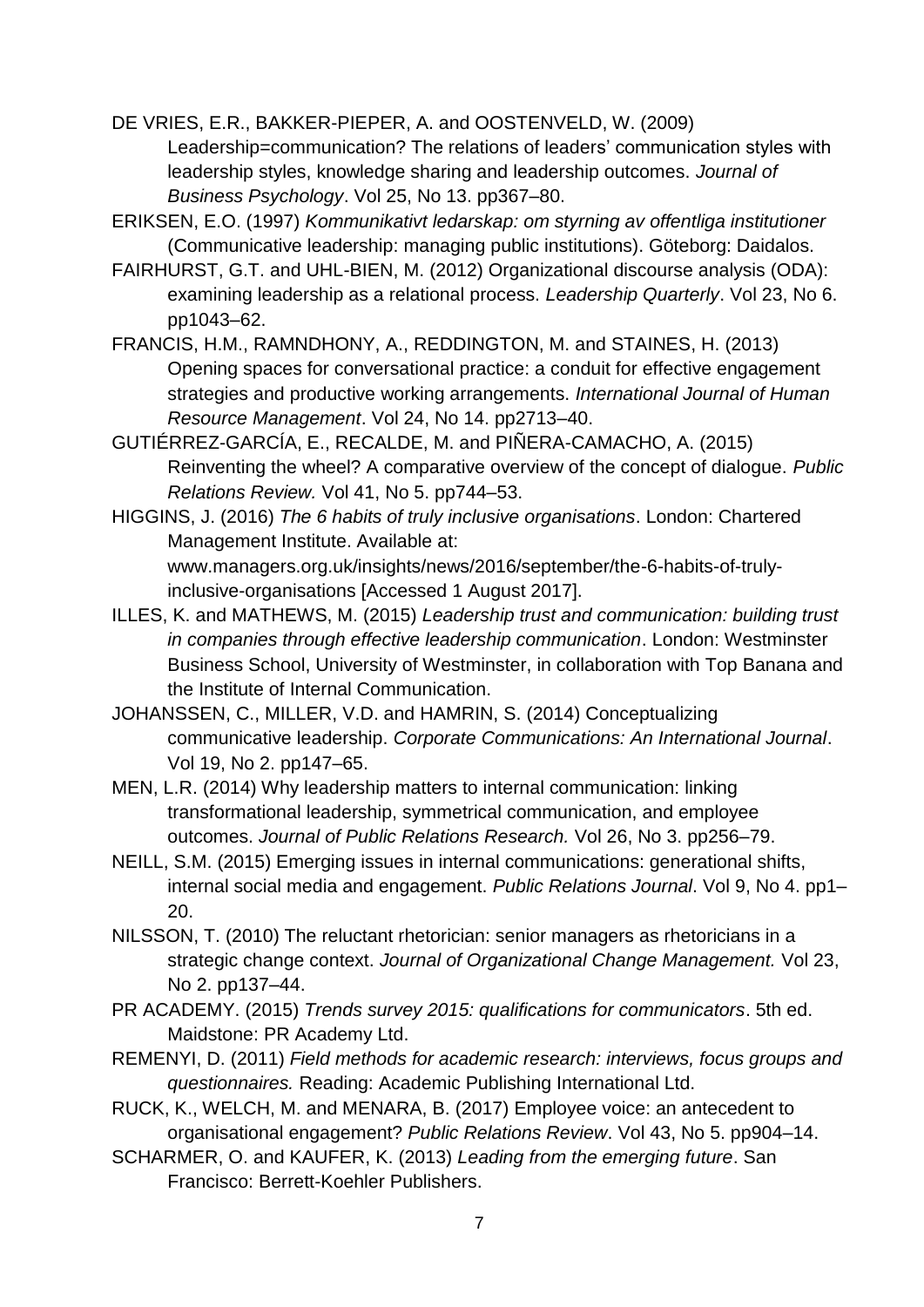DE VRIES, E.R., BAKKER-PIEPER, A. and OOSTENVELD, W. (2009) Leadership=communication? The relations of leaders' communication styles with leadership styles, knowledge sharing and leadership outcomes. *Journal of Business Psychology*. Vol 25, No 13. pp367–80.

ERIKSEN, E.O. (1997) *Kommunikativt ledarskap: om styrning av offentliga institutioner* (Communicative leadership: managing public institutions). Göteborg: Daidalos.

FAIRHURST, G.T. and UHL-BIEN, M. (2012) Organizational discourse analysis (ODA): examining leadership as a relational process. *Leadership Quarterly*. Vol 23, No 6. pp1043–62.

FRANCIS, H.M., RAMNDHONY, A., REDDINGTON, M. and STAINES, H. (2013) Opening spaces for conversational practice: a conduit for effective engagement strategies and productive working arrangements. *International Journal of Human Resource Management*. Vol 24, No 14. pp2713–40.

GUTIÉRREZ-GARCÍA, E., RECALDE, M. and PIÑERA-CAMACHO, A. (2015) Reinventing the wheel? A comparative overview of the concept of dialogue. *Public Relations Review.* Vol 41, No 5. pp744–53.

HIGGINS, J. (2016) *The 6 habits of truly inclusive organisations*. London: Chartered Management Institute. Available at: www.managers.org.uk/insights/news/2016/september/the-6-habits-of-trulyinclusive-organisations [Accessed 1 August 2017].

- ILLES, K. and MATHEWS, M. (2015) *Leadership trust and communication: building trust in companies through effective leadership communication*. London: Westminster Business School, University of Westminster, in collaboration with Top Banana and the Institute of Internal Communication.
- JOHANSSEN, C., MILLER, V.D. and HAMRIN, S. (2014) Conceptualizing communicative leadership. *Corporate Communications: An International Journal*. Vol 19, No 2. pp147–65.

MEN, L.R. (2014) Why leadership matters to internal communication: linking transformational leadership, symmetrical communication, and employee outcomes. *Journal of Public Relations Research.* Vol 26, No 3. pp256–79.

- NEILL, S.M. (2015) Emerging issues in internal communications: generational shifts, internal social media and engagement. *Public Relations Journal*. Vol 9, No 4. pp1– 20.
- NILSSON, T. (2010) The reluctant rhetorician: senior managers as rhetoricians in a strategic change context. *Journal of Organizational Change Management.* Vol 23, No 2. pp137–44.
- PR ACADEMY. (2015) *Trends survey 2015: qualifications for communicators*. 5th ed. Maidstone: PR Academy Ltd.
- REMENYI, D. (2011) *Field methods for academic research: interviews, focus groups and questionnaires.* Reading: Academic Publishing International Ltd.

RUCK, K., WELCH, M. and MENARA, B. (2017) Employee voice: an antecedent to organisational engagement? *Public Relations Review*. Vol 43, No 5. pp904–14.

SCHARMER, O. and KAUFER, K. (2013) *Leading from the emerging future*. San Francisco: Berrett-Koehler Publishers.